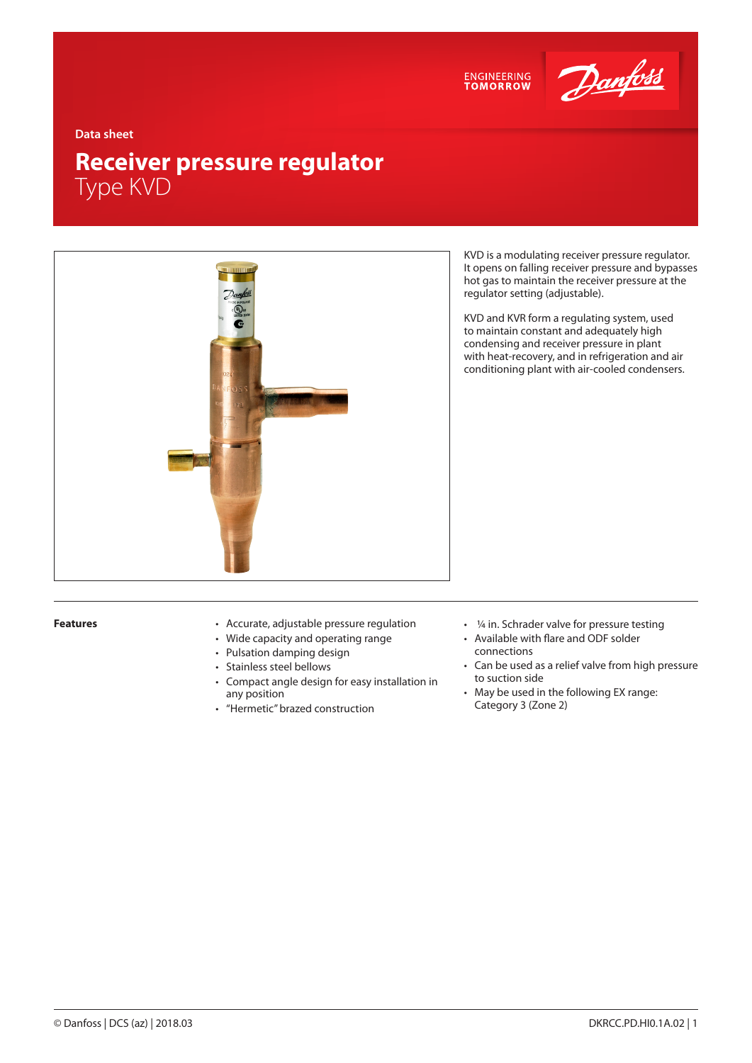



**Data sheet**

# **Receiver pressure regulator** Type KVD



KVD is a modulating receiver pressure regulator. It opens on falling receiver pressure and bypasses hot gas to maintain the receiver pressure at the regulator setting (adjustable).

KVD and KVR form a regulating system, used to maintain constant and adequately high condensing and receiver pressure in plant with heat-recovery, and in refrigeration and air conditioning plant with air-cooled condensers.

- **Features** Accurate, adjustable pressure regulation
	- Wide capacity and operating range
	- Pulsation damping design
	- Stainless steel bellows
	- Compact angle design for easy installation in any position
	- "Hermetic" brazed construction
- 1/4 in. Schrader valve for pressure testing
- Available with flare and ODF solder connections
- Can be used as a relief valve from high pressure to suction side
- May be used in the following EX range: Category 3 (Zone 2)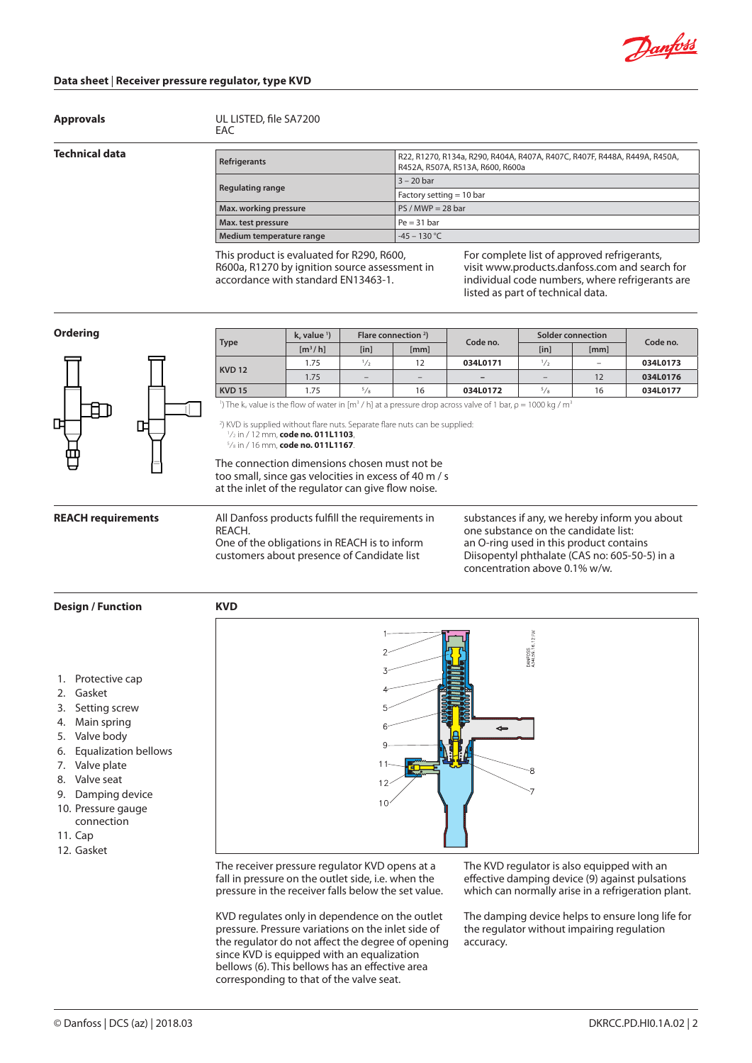

## **Data sheet** | **Receiver pressure regulator, type KVD**

**Approvals** UL LISTED, file SA7200

#### **Technical data**

|     | UL LISTED, file SA7200 |  |
|-----|------------------------|--|
| EAC |                        |  |

| Refrigerants             | R22, R1270, R134a, R290, R404A, R407A, R407C, R407F, R448A, R449A, R450A,<br>R452A, R507A, R513A, R600, R600a |  |  |  |  |
|--------------------------|---------------------------------------------------------------------------------------------------------------|--|--|--|--|
|                          | $3 - 20$ bar                                                                                                  |  |  |  |  |
| <b>Regulating range</b>  | Factory setting $= 10$ bar                                                                                    |  |  |  |  |
| Max. working pressure    | $PS / MWP = 28$ bar                                                                                           |  |  |  |  |
| Max. test pressure       | $Pe = 31 bar$                                                                                                 |  |  |  |  |
| Medium temperature range | $-45 - 130$ °C                                                                                                |  |  |  |  |

This product is evaluated for R290, R600, R600a, R1270 by ignition source assessment in accordance with standard EN13463-1.

For complete list of approved refrigerants, visit www.products.danfoss.com and search for individual code numbers, where refrigerants are listed as part of technical data.

### **Ordering**



| <b>Type</b>                                                                                                                                                                                                                          | $k_v$ value $\frac{1}{2}$                             |                          | Flare connection $2$ )   |                                           | Solder connection        |      |          |  |
|--------------------------------------------------------------------------------------------------------------------------------------------------------------------------------------------------------------------------------------|-------------------------------------------------------|--------------------------|--------------------------|-------------------------------------------|--------------------------|------|----------|--|
|                                                                                                                                                                                                                                      | $\left[\frac{m^3}{h}\right]$                          | [in]                     | [mm]                     | Code no.                                  | [in]                     | [mm] | Code no. |  |
| <b>KVD 12</b>                                                                                                                                                                                                                        | 1.75                                                  | $\frac{1}{2}$            | 12                       | 034L0171                                  | $\frac{1}{2}$            | -    | 034L0173 |  |
|                                                                                                                                                                                                                                      | 1.75                                                  | $\overline{\phantom{a}}$ | $\overline{\phantom{a}}$ | -                                         | $\overline{\phantom{a}}$ | 12   | 034L0176 |  |
| <b>KVD 15</b>                                                                                                                                                                                                                        | 1.75                                                  | 5/8                      | 16                       | 034L0172                                  | 5/8                      | 16   | 034L0177 |  |
| <b>The most of the first and the company's company's company's company's and the company's and the company's articles and the company's articles and the company's articles and the company's articles and the company's article</b> | $\cdot$ , and a set of $\cdot$ , and a set of $\cdot$ |                          |                          | $\sim$ $\sim$ $\sim$ $\sim$ $\sim$ $\sim$ |                          |      |          |  |

<sup>1</sup>) The k<sub>v</sub> value is the flow of water in [m<sup>3</sup> / h] at a pressure drop across valve of 1 bar,  $\rho = 1000$  kg / m<sup>3</sup>

2 ) KVD is supplied without flare nuts. Separate flare nuts can be supplied: 1 ⁄2 in / 12 mm, **code no. 011L1103**, 5 ⁄8 in / 16 mm, **code no. 011L1167**.

The connection dimensions chosen must not be too small, since gas velocities in excess of 40 m / s at the inlet of the regulator can give flow noise.

**REACH requirements**

All Danfoss products fulfill the requirements in REACH.

One of the obligations in REACH is to inform customers about presence of Candidate list

**KVD**

substances if any, we hereby inform you about one substance on the candidate list: an O-ring used in this product contains Diisopentyl phthalate (CAS no: 605-50-5) in a concentration above 0.1% w/w.

### **Design / Function**

- 1. Protective cap
- 2. Gasket
- 3. Setting screw
- 4. Main spring
- 5. Valve body
- 6. Equalization bellows
- 7. Valve plate
- 8. Valve seat
- 9. Damping device
- 10. Pressure gauge
- connection
- 11. Cap
- 12. Gasket



The receiver pressure regulator KVD opens at a fall in pressure on the outlet side, i.e. when the pressure in the receiver falls below the set value.

KVD regulates only in dependence on the outlet pressure. Pressure variations on the inlet side of the regulator do not affect the degree of opening since KVD is equipped with an equalization bellows (6). This bellows has an effective area corresponding to that of the valve seat.

The KVD regulator is also equipped with an effective damping device (9) against pulsations which can normally arise in a refrigeration plant.

The damping device helps to ensure long life for the regulator without impairing regulation accuracy.